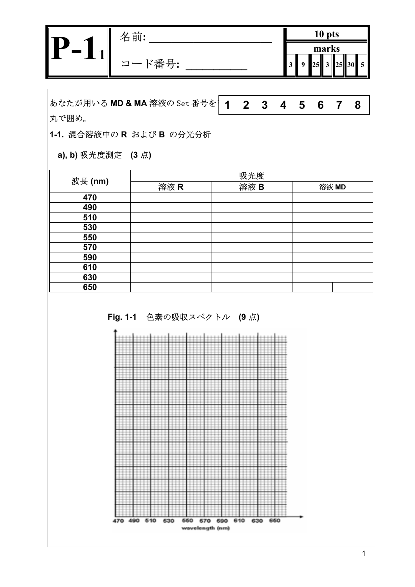| 名前:            |  | 10 pts |       |                          |
|----------------|--|--------|-------|--------------------------|
| ド番号:<br>$\Box$ |  | marks  | 25 30 | $\overline{\phantom{a}}$ |
|                |  |        |       |                          |

あなたが用いる MD & MA 溶液の Set 番号を 1 丸で囲め。 **1 2 3 4 5 6 7 8** 

**1-1.** 混合溶液中の **R** および **B** の分光分析

**a), b)** 吸光度測定 **(3** 点**)** 

|         |      | 吸光度  |       |
|---------|------|------|-------|
| 波長 (nm) | 溶液 R | 溶液 B | 溶液 MD |
| 470     |      |      |       |
| 490     |      |      |       |
| 510     |      |      |       |
| 530     |      |      |       |
| 550     |      |      |       |
| 570     |      |      |       |
| 590     |      |      |       |
| 610     |      |      |       |
| 630     |      |      |       |
| 650     |      |      |       |

 **Fig. 1-1** 色素の吸収スペクトル **(9** 点**)** 

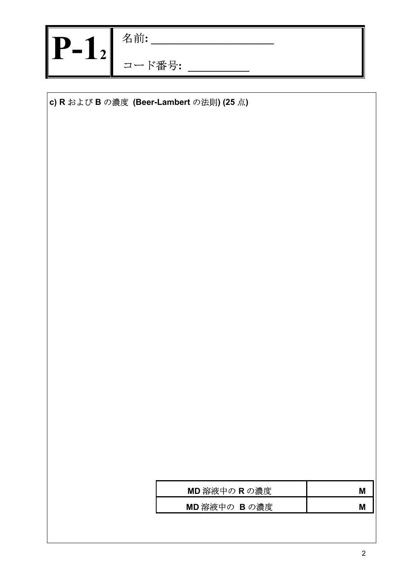| -<br><b>Contract Contract</b> | 名前:        |
|-------------------------------|------------|
|                               | ド番号:<br>コ、 |

**c) R** および **B** の濃度 **(Beer-Lambert** の法則**) (25** 点**)** 

| MD 溶液中の R の濃度 | Μ |
|---------------|---|
| MD 溶液中の B の濃度 | Μ |
|               |   |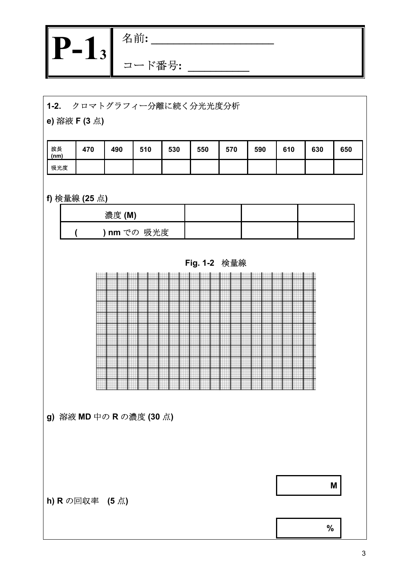| Ð<br><b>The Contract of State State</b><br>~ | 前:<br>名 |
|----------------------------------------------|---------|
| ت                                            | ベ番号:    |

## **1-2.** クロマトグラフィー分離に続く分光光度分析

**e)** 溶液 **F (3** 点**)** 

| 波長<br>(nm) | 470 | 490 | 510 | 530 | 550 | 570 | 590 | 610 | 630 | 650 |
|------------|-----|-----|-----|-----|-----|-----|-----|-----|-----|-----|
| 吸光度        |     |     |     |     |     |     |     |     |     |     |

# **f)** 検量線 **(25** 点**)**

| 濃度(M)     |  |  |
|-----------|--|--|
| nm での 吸光度 |  |  |





**g)** 溶液 **MD** 中の **R** の濃度 **(30** 点**)** 

**h) R** の回収率 **(5** 点**)** 

**M** 

**%**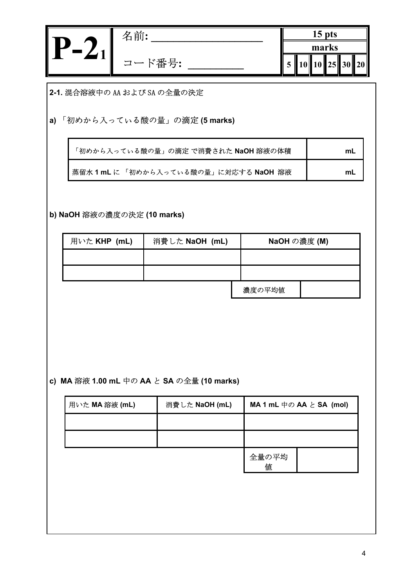| 名前.         | $15$ pts         |
|-------------|------------------|
| <b>`番号:</b> | marks<br>25<br>ັ |
|             |                  |

**2-1.** 混合溶液中の AA および SA の全量の決定

**a)** 「初めから入っている酸の量」の滴定 **(5 marks)** 

| 「初めから入っている酸の量」の滴定 で消費された NaOH 溶液の体積 | ՠւ |
|-------------------------------------|----|
| 蒸留水1mLに「初めから入っている酸の量」に対応する NaOH 溶液  | mL |

**b) NaOH** 溶液の濃度の決定 **(10 marks)** 

| 用いた KHP (mL) | 消費した NaOH (mL) |  | NaOH の濃度 (M) |  |  |
|--------------|----------------|--|--------------|--|--|
|              |                |  |              |  |  |
|              |                |  |              |  |  |
|              |                |  | 濃度の平均値       |  |  |

**c) MA** 溶液 **1.00 mL** 中の **AA** と **SA** の全量 **(10 marks)**

| 用いた MA 溶液 (mL) | 消費した NaOH (mL) |            | MA 1 mL $\text{\textsf{H}}\oslash$ AA $\text{\textsf{L}}$ SA (mol) |
|----------------|----------------|------------|--------------------------------------------------------------------|
|                |                |            |                                                                    |
|                |                |            |                                                                    |
|                |                | 全量の平均<br>値 |                                                                    |
|                |                |            |                                                                    |
|                |                |            |                                                                    |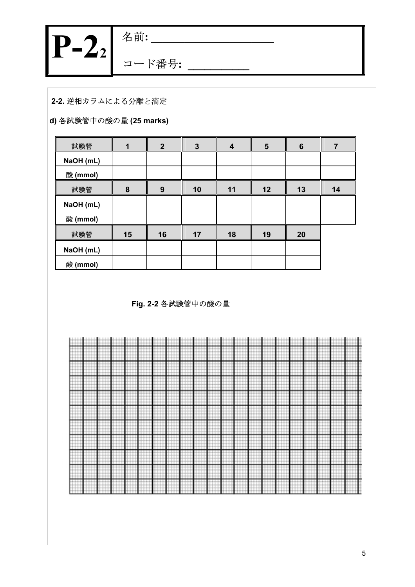|             | वेंगि       |
|-------------|-------------|
| u sa n<br>I | <b>`番号:</b> |

### **2-2.** 逆相カラムによる分離と滴定

# **d)** 各試験管中の酸の量 **(25 marks)**

| 試験管       |    | $\overline{2}$ | $\mathbf{3}$ | 4  | $5\phantom{1}$ | 6  | 7  |
|-----------|----|----------------|--------------|----|----------------|----|----|
| NaOH (mL) |    |                |              |    |                |    |    |
| 酸 (mmol)  |    |                |              |    |                |    |    |
| 試験管       | 8  | 9              | 10           | 11 | 12             | 13 | 14 |
| NaOH (mL) |    |                |              |    |                |    |    |
| 酸 (mmol)  |    |                |              |    |                |    |    |
| 試験管       | 15 | 16             | 17           | 18 | 19             | 20 |    |
| NaOH (mL) |    |                |              |    |                |    |    |
| 酸 (mmol)  |    |                |              |    |                |    |    |

**Fig. 2-2** 各試験管中の酸の量

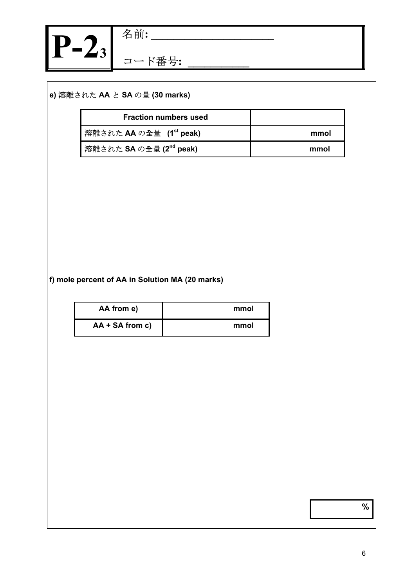

## **e)** 溶離された **AA** と **SA** の量 **(30 marks)**

| <b>Fraction numbers used</b>        |      |
|-------------------------------------|------|
| 溶離された AA の全量 (1 <sup>st</sup> peak) | mmol |
| 溶離された SA の全量 (2 <sup>nd</sup> peak) | mmol |

#### **f) mole percent of AA in Solution MA (20 marks)**

| AA from e)        | mmol |
|-------------------|------|
| $AA + SA$ from c) | mmol |

**%**